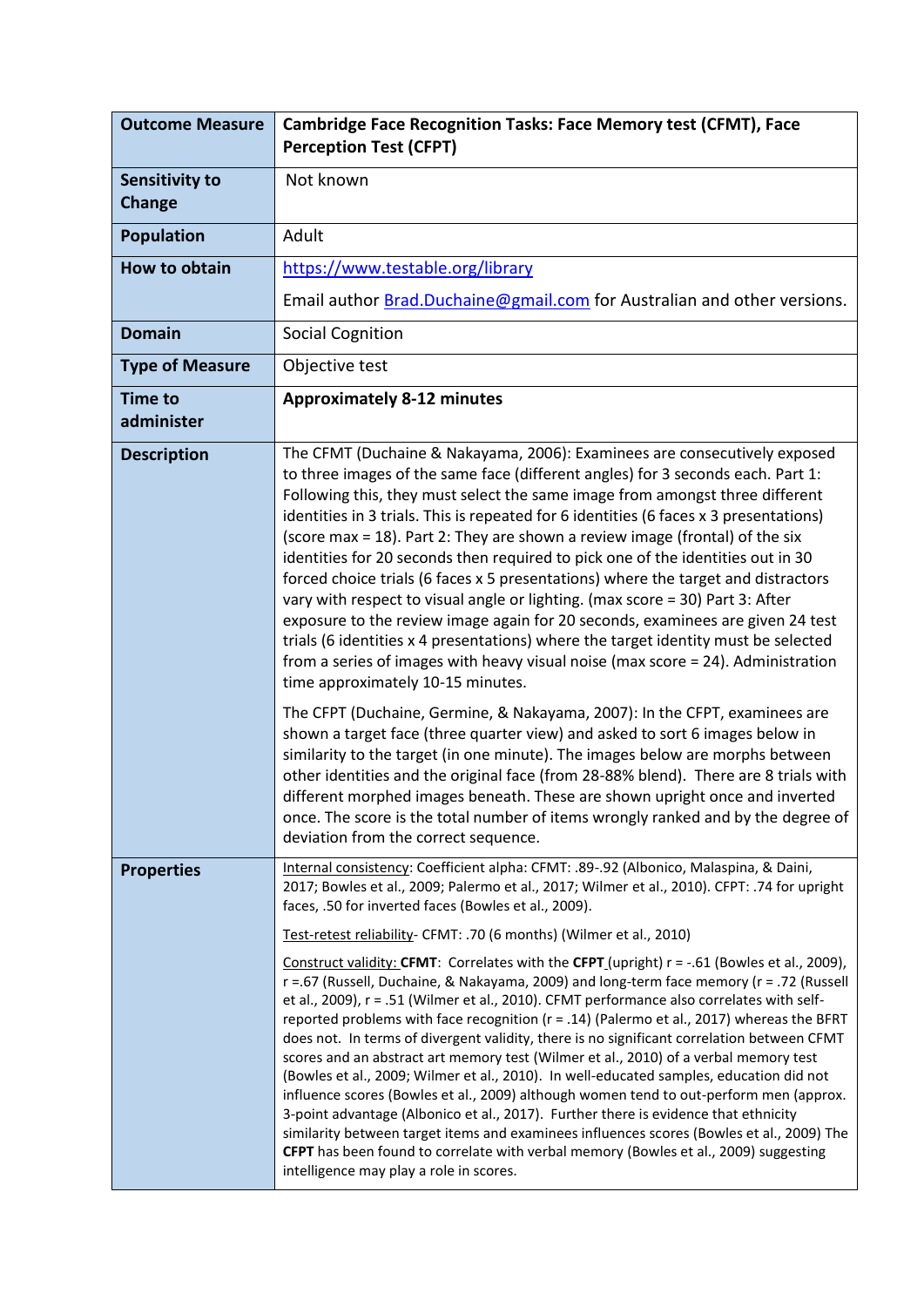| <b>Outcome Measure</b>                 | <b>Cambridge Face Recognition Tasks: Face Memory test (CFMT), Face</b><br><b>Perception Test (CFPT)</b>                                                                                                                                                                                                                                                                                                                                                                                                                                                                                                                                                                                                                                                                                                                                                                                                                                                                                                                                                                                                                                                                                                                                                                                                                                                                                                                                                                                                                          |
|----------------------------------------|----------------------------------------------------------------------------------------------------------------------------------------------------------------------------------------------------------------------------------------------------------------------------------------------------------------------------------------------------------------------------------------------------------------------------------------------------------------------------------------------------------------------------------------------------------------------------------------------------------------------------------------------------------------------------------------------------------------------------------------------------------------------------------------------------------------------------------------------------------------------------------------------------------------------------------------------------------------------------------------------------------------------------------------------------------------------------------------------------------------------------------------------------------------------------------------------------------------------------------------------------------------------------------------------------------------------------------------------------------------------------------------------------------------------------------------------------------------------------------------------------------------------------------|
| <b>Sensitivity to</b><br><b>Change</b> | Not known                                                                                                                                                                                                                                                                                                                                                                                                                                                                                                                                                                                                                                                                                                                                                                                                                                                                                                                                                                                                                                                                                                                                                                                                                                                                                                                                                                                                                                                                                                                        |
| <b>Population</b>                      | Adult                                                                                                                                                                                                                                                                                                                                                                                                                                                                                                                                                                                                                                                                                                                                                                                                                                                                                                                                                                                                                                                                                                                                                                                                                                                                                                                                                                                                                                                                                                                            |
| <b>How to obtain</b>                   | https://www.testable.org/library                                                                                                                                                                                                                                                                                                                                                                                                                                                                                                                                                                                                                                                                                                                                                                                                                                                                                                                                                                                                                                                                                                                                                                                                                                                                                                                                                                                                                                                                                                 |
|                                        | Email author Brad.Duchaine@gmail.com for Australian and other versions.                                                                                                                                                                                                                                                                                                                                                                                                                                                                                                                                                                                                                                                                                                                                                                                                                                                                                                                                                                                                                                                                                                                                                                                                                                                                                                                                                                                                                                                          |
| <b>Domain</b>                          | <b>Social Cognition</b>                                                                                                                                                                                                                                                                                                                                                                                                                                                                                                                                                                                                                                                                                                                                                                                                                                                                                                                                                                                                                                                                                                                                                                                                                                                                                                                                                                                                                                                                                                          |
| <b>Type of Measure</b>                 | Objective test                                                                                                                                                                                                                                                                                                                                                                                                                                                                                                                                                                                                                                                                                                                                                                                                                                                                                                                                                                                                                                                                                                                                                                                                                                                                                                                                                                                                                                                                                                                   |
| <b>Time to</b><br>administer           | <b>Approximately 8-12 minutes</b>                                                                                                                                                                                                                                                                                                                                                                                                                                                                                                                                                                                                                                                                                                                                                                                                                                                                                                                                                                                                                                                                                                                                                                                                                                                                                                                                                                                                                                                                                                |
| <b>Description</b>                     | The CFMT (Duchaine & Nakayama, 2006): Examinees are consecutively exposed<br>to three images of the same face (different angles) for 3 seconds each. Part 1:<br>Following this, they must select the same image from amongst three different<br>identities in 3 trials. This is repeated for 6 identities (6 faces x 3 presentations)<br>(score max = 18). Part 2: They are shown a review image (frontal) of the six<br>identities for 20 seconds then required to pick one of the identities out in 30<br>forced choice trials (6 faces x 5 presentations) where the target and distractors<br>vary with respect to visual angle or lighting. (max score = 30) Part 3: After<br>exposure to the review image again for 20 seconds, examinees are given 24 test<br>trials (6 identities x 4 presentations) where the target identity must be selected<br>from a series of images with heavy visual noise (max score = 24). Administration<br>time approximately 10-15 minutes.<br>The CFPT (Duchaine, Germine, & Nakayama, 2007): In the CFPT, examinees are<br>shown a target face (three quarter view) and asked to sort 6 images below in<br>similarity to the target (in one minute). The images below are morphs between<br>other identities and the original face (from 28-88% blend). There are 8 trials with<br>different morphed images beneath. These are shown upright once and inverted<br>once. The score is the total number of items wrongly ranked and by the degree of<br>deviation from the correct sequence. |
| <b>Properties</b>                      | Internal consistency: Coefficient alpha: CFMT: .89-.92 (Albonico, Malaspina, & Daini,<br>2017; Bowles et al., 2009; Palermo et al., 2017; Wilmer et al., 2010). CFPT: .74 for upright<br>faces, .50 for inverted faces (Bowles et al., 2009).                                                                                                                                                                                                                                                                                                                                                                                                                                                                                                                                                                                                                                                                                                                                                                                                                                                                                                                                                                                                                                                                                                                                                                                                                                                                                    |
|                                        | Test-retest reliability- CFMT: .70 (6 months) (Wilmer et al., 2010)                                                                                                                                                                                                                                                                                                                                                                                                                                                                                                                                                                                                                                                                                                                                                                                                                                                                                                                                                                                                                                                                                                                                                                                                                                                                                                                                                                                                                                                              |
|                                        | Construct validity: CFMT: Correlates with the CFPT (upright) r = -.61 (Bowles et al., 2009),<br>r =.67 (Russell, Duchaine, & Nakayama, 2009) and long-term face memory (r = .72 (Russell<br>et al., 2009), r = .51 (Wilmer et al., 2010). CFMT performance also correlates with self-<br>reported problems with face recognition (r = .14) (Palermo et al., 2017) whereas the BFRT<br>does not. In terms of divergent validity, there is no significant correlation between CFMT<br>scores and an abstract art memory test (Wilmer et al., 2010) of a verbal memory test<br>(Bowles et al., 2009; Wilmer et al., 2010). In well-educated samples, education did not<br>influence scores (Bowles et al., 2009) although women tend to out-perform men (approx.<br>3-point advantage (Albonico et al., 2017). Further there is evidence that ethnicity<br>similarity between target items and examinees influences scores (Bowles et al., 2009) The<br>CFPT has been found to correlate with verbal memory (Bowles et al., 2009) suggesting<br>intelligence may play a role in scores.                                                                                                                                                                                                                                                                                                                                                                                                                                             |